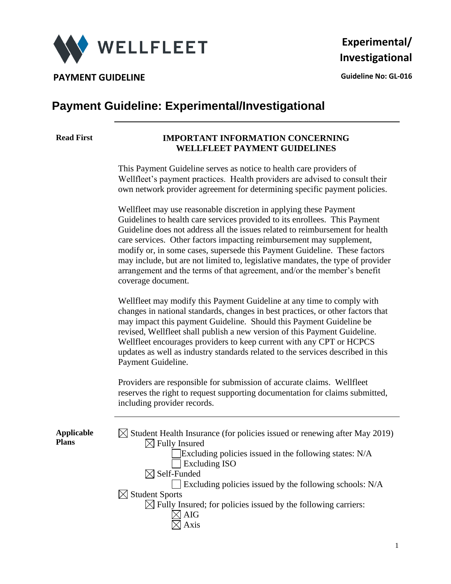

**PAYMENT GUIDELINE CONSUMING A CONSUMING A CONSUMING A CONSUMING A CONSUMING A CONSUMING A CONSUMING A CONSUMING A CONSUMING A CONSUMING A CONSUMING A CONSUMING A CONSUMING A CONSUMING A CONSUMING A CONSUMING A CONSUMING** 

### **Payment Guideline: Experimental/Investigational**

#### **Read First IMPORTANT INFORMATION CONCERNING WELLFLEET PAYMENT GUIDELINES**

This Payment Guideline serves as notice to health care providers of Wellfleet's payment practices. Health providers are advised to consult their own network provider agreement for determining specific payment policies.

Wellfleet may use reasonable discretion in applying these Payment Guidelines to health care services provided to its enrollees. This Payment Guideline does not address all the issues related to reimbursement for health care services. Other factors impacting reimbursement may supplement, modify or, in some cases, supersede this Payment Guideline. These factors may include, but are not limited to, legislative mandates, the type of provider arrangement and the terms of that agreement, and/or the member's benefit coverage document.

Wellfleet may modify this Payment Guideline at any time to comply with changes in national standards, changes in best practices, or other factors that may impact this payment Guideline. Should this Payment Guideline be revised, Wellfleet shall publish a new version of this Payment Guideline. Wellfleet encourages providers to keep current with any CPT or HCPCS updates as well as industry standards related to the services described in this Payment Guideline.

Providers are responsible for submission of accurate claims. Wellfleet reserves the right to request supporting documentation for claims submitted, including provider records.

**Applicable Plans**

| $\boxtimes$ Student Health Insurance (for policies issued or renewing after May 2019) |
|---------------------------------------------------------------------------------------|
| $\boxtimes$ Fully Insured                                                             |
| Excluding policies issued in the following states: N/A                                |
| <b>Excluding ISO</b>                                                                  |
| $\boxtimes$ Self-Funded                                                               |
| $\Box$ Excluding policies issued by the following schools: N/A                        |
| $\boxtimes$ Student Sports                                                            |
| $\boxtimes$ Fully Insured; for policies issued by the following carriers:             |
| <b>AIG</b>                                                                            |
| Axis                                                                                  |
|                                                                                       |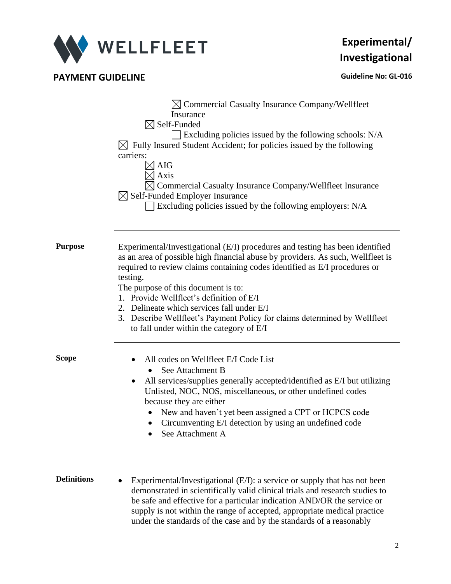

**PAYMENT GUIDELINE CONSUMING A CONSUMING A CONSUMING A CONSUMING A CONSUMING A CONSUMING A CONSUMING A CONSUMING A CONSUMING A CONSUMING A CONSUMING A CONSUMING A CONSUMING A CONSUMING A CONSUMING A CONSUMING A CONSUMING** 

|             | $\boxtimes$ Commercial Casualty Insurance Company/Wellfleet<br>Insurance<br>$\boxtimes$ Self-Funded<br>$\Box$ Excluding policies issued by the following schools: N/A<br>$\boxtimes$ Fully Insured Student Accident; for policies issued by the following<br>carriers:<br><b>AIG</b><br>Axis<br>Commercial Casualty Insurance Company/Wellfleet Insurance<br>$\boxtimes$ Self-Funded Employer Insurance<br>Excluding policies issued by the following employers: N/A                                                 |  |  |  |  |
|-------------|----------------------------------------------------------------------------------------------------------------------------------------------------------------------------------------------------------------------------------------------------------------------------------------------------------------------------------------------------------------------------------------------------------------------------------------------------------------------------------------------------------------------|--|--|--|--|
| Purpose     | Experimental/Investigational (E/I) procedures and testing has been identified<br>as an area of possible high financial abuse by providers. As such, Wellfleet is<br>required to review claims containing codes identified as E/I procedures or<br>testing.<br>The purpose of this document is to:<br>1. Provide Wellfleet's definition of E/I<br>2. Delineate which services fall under E/I<br>3. Describe Wellfleet's Payment Policy for claims determined by Wellfleet<br>to fall under within the category of E/I |  |  |  |  |
| Scope       | All codes on Wellfleet E/I Code List<br>See Attachment B<br>All services/supplies generally accepted/identified as E/I but utilizing<br>Unlisted, NOC, NOS, miscellaneous, or other undefined codes<br>because they are either<br>New and haven't yet been assigned a CPT or HCPCS code<br>$\bullet$<br>Circumventing E/I detection by using an undefined code<br>$\bullet$<br>See Attachment A                                                                                                                      |  |  |  |  |
| Definitions | $E_{\text{unouimant}}(l_{\text{inv}})$ (Lavestigational ( $E_{\text{u}}(l)$ ) a sequence on symplect has not been                                                                                                                                                                                                                                                                                                                                                                                                    |  |  |  |  |

**Definitions** • Experimental/Investigational (E/I): a service or supply that has not been demonstrated in scientifically valid clinical trials and research studies to be safe and effective for a particular indication AND/OR the service or supply is not within the range of accepted, appropriate medical practice under the standards of the case and by the standards of a reasonably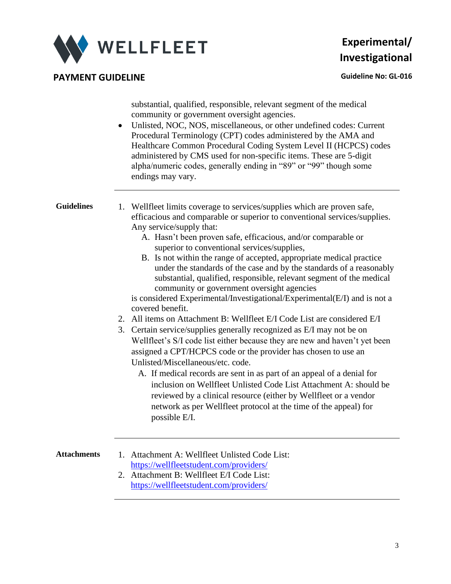

**PAYMENT GUIDELINE CONSUMING A CONSUMING A CONSUMING A CONSUMING A CONSUMING A CONSUMING A CONSUMING A CONSUMING A CONSUMING A CONSUMING A CONSUMING A CONSUMING A CONSUMING A CONSUMING A CONSUMING A CONSUMING A CONSUMING** 

substantial, qualified, responsible, relevant segment of the medical community or government oversight agencies.

• Unlisted, NOC, NOS, miscellaneous, or other undefined codes: Current Procedural Terminology (CPT) codes administered by the AMA and Healthcare Common Procedural Coding System Level II (HCPCS) codes administered by CMS used for non-specific items. These are 5-digit alpha/numeric codes, generally ending in "89" or "99" though some endings may vary.

**Guidelines** 1. Wellfleet limits coverage to services/supplies which are proven safe, efficacious and comparable or superior to conventional services/supplies. Any service/supply that:

- A. Hasn't been proven safe, efficacious, and/or comparable or superior to conventional services/supplies,
- B. Is not within the range of accepted, appropriate medical practice under the standards of the case and by the standards of a reasonably substantial, qualified, responsible, relevant segment of the medical community or government oversight agencies

is considered Experimental/Investigational/Experimental(E/I) and is not a covered benefit.

- 2. All items on Attachment B: Wellfleet E/I Code List are considered E/I
- 3. Certain service/supplies generally recognized as E/I may not be on Wellfleet's S/I code list either because they are new and haven't yet been assigned a CPT/HCPCS code or the provider has chosen to use an Unlisted/Miscellaneous/etc. code.
	- A. If medical records are sent in as part of an appeal of a denial for inclusion on Wellfleet Unlisted Code List Attachment A: should be reviewed by a clinical resource (either by Wellfleet or a vendor network as per Wellfleet protocol at the time of the appeal) for possible E/I.

- **Attachments** 1. Attachment A: Wellfleet Unlisted Code List: <https://wellfleetstudent.com/providers/>
	- 2. Attachment B: Wellfleet E/I Code List: <https://wellfleetstudent.com/providers/>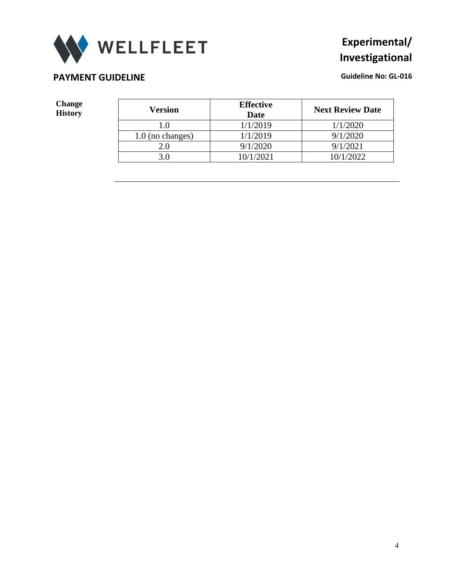

#### **PAYMENT GUIDELINE CONSUMING A REPORT OF A REPORT OF A REPORT OF A REPORT OF A REPORT OF A REPORT OF A REPORT OF A REPORT OF A REPORT OF A REPORT OF A REPORT OF A REPORT OF A REPORT OF A REPORT OF A REPORT OF A REPORT OF**

**Change** 

| <b>Change</b><br><b>History</b> | <b>Version</b>     | <b>Effective</b><br><b>Date</b> | <b>Next Review Date</b> |
|---------------------------------|--------------------|---------------------------------|-------------------------|
|                                 |                    | 1/1/2019                        | 1/1/2020                |
|                                 | $1.0$ (no changes) | 1/1/2019                        | 9/1/2020                |
|                                 | 2.0                | 9/1/2020                        | 9/1/2021                |
|                                 | 3.0                | 10/1/2021                       | 10/1/2022               |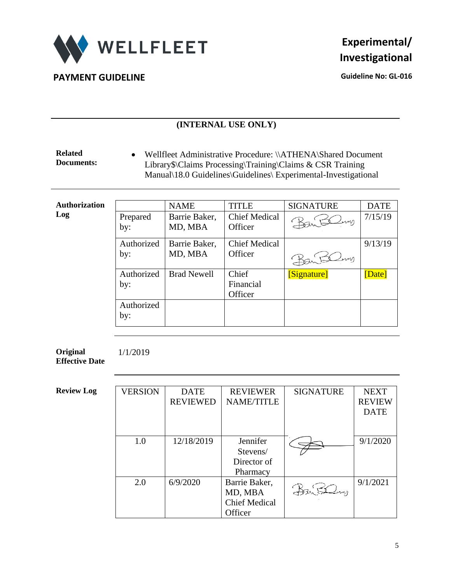

**PAYMENT GUIDELINE CONSUMING A CONSUMING A CONSUMING A CONSUMING A CONSUMING A CONSUMING A CONSUMING A CONSUMING A CONSUMING A CONSUMING A CONSUMING A CONSUMING A CONSUMING A CONSUMING A CONSUMING A CONSUMING A CONSUMING** 

#### **(INTERNAL USE ONLY)**

**Related Documents:** • Wellfleet Administrative Procedure: \\ATHENA\Shared Document Library\$\Claims Processing\Training\Claims & CSR Training Manual\18.0 Guidelines\Guidelines\ Experimental-Investigational

| <b>Authorization</b> |                   | <b>NAME</b>              | <b>TITLE</b>                    | <b>SIGNATURE</b> | <b>DATE</b> |
|----------------------|-------------------|--------------------------|---------------------------------|------------------|-------------|
| Log                  | Prepared<br>by:   | Barrie Baker,<br>MD, MBA | <b>Chief Medical</b><br>Officer | Baritemy         | 7/15/19     |
|                      | Authorized        | Barrie Baker,            | <b>Chief Medical</b>            |                  | 9/13/19     |
|                      | by:               | MD, MBA                  | Officer                         | $2$ m            |             |
|                      | Authorized        | <b>Brad Newell</b>       | Chief                           | [Signature]      | Date]       |
|                      | by:               |                          | Financial                       |                  |             |
|                      |                   |                          | Officer                         |                  |             |
|                      | Authorized<br>by: |                          |                                 |                  |             |

**Original Effective Date** 1/1/2019

| <b>Review Log</b> | <b>VERSION</b> | <b>DATE</b>     | <b>REVIEWER</b>      | <b>SIGNATURE</b> | <b>NEXT</b>   |  |
|-------------------|----------------|-----------------|----------------------|------------------|---------------|--|
|                   |                | <b>REVIEWED</b> | <b>NAME/TITLE</b>    |                  | <b>REVIEW</b> |  |
|                   |                |                 |                      |                  | <b>DATE</b>   |  |
|                   |                |                 |                      |                  |               |  |
|                   |                |                 |                      |                  |               |  |
|                   | 1.0            | 12/18/2019      | Jennifer             |                  | 9/1/2020      |  |
|                   |                |                 | Stevens/             |                  |               |  |
|                   |                |                 | Director of          |                  |               |  |
|                   |                |                 | Pharmacy             |                  |               |  |
|                   | 2.0            | 6/9/2020        | Barrie Baker,        |                  | 9/1/2021      |  |
|                   |                |                 | MD, MBA              |                  |               |  |
|                   |                |                 | <b>Chief Medical</b> |                  |               |  |
|                   |                |                 | Officer              |                  |               |  |